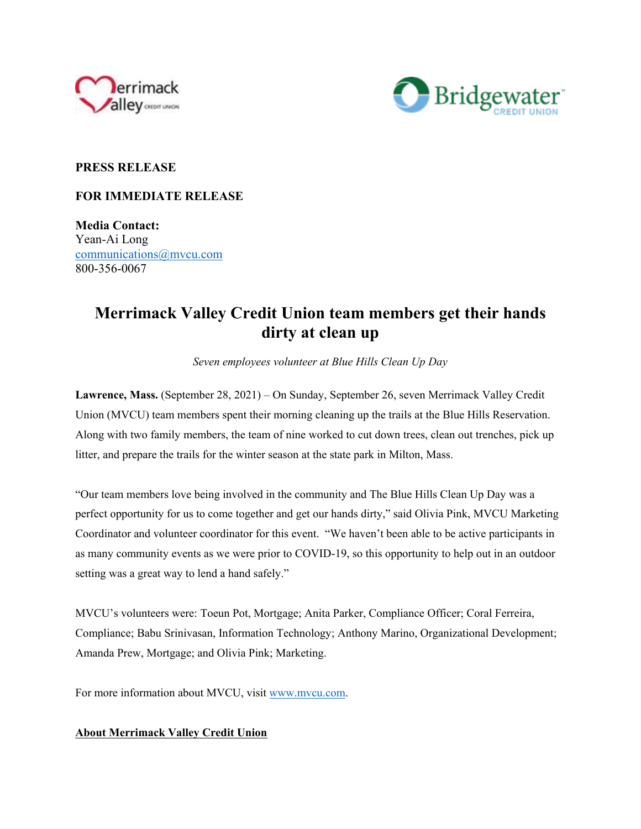



## **PRESS RELEASE**

## **FOR IMMEDIATE RELEASE**

**Media Contact:**  Yean-Ai Long communications@mvcu.com 800-356-0067

## **Merrimack Valley Credit Union team members get their hands dirty at clean up**

*Seven employees volunteer at Blue Hills Clean Up Day*

**Lawrence, Mass.** (September 28, 2021) – On Sunday, September 26, seven Merrimack Valley Credit Union (MVCU) team members spent their morning cleaning up the trails at the Blue Hills Reservation. Along with two family members, the team of nine worked to cut down trees, clean out trenches, pick up litter, and prepare the trails for the winter season at the state park in Milton, Mass.

"Our team members love being involved in the community and The Blue Hills Clean Up Day was a perfect opportunity for us to come together and get our hands dirty," said Olivia Pink, MVCU Marketing Coordinator and volunteer coordinator for this event. "We haven't been able to be active participants in as many community events as we were prior to COVID-19, so this opportunity to help out in an outdoor setting was a great way to lend a hand safely."

MVCU's volunteers were: Toeun Pot, Mortgage; Anita Parker, Compliance Officer; Coral Ferreira, Compliance; Babu Srinivasan, Information Technology; Anthony Marino, Organizational Development; Amanda Prew, Mortgage; and Olivia Pink; Marketing.

For more information about MVCU, visit www.mvcu.com.

## **About Merrimack Valley Credit Union**